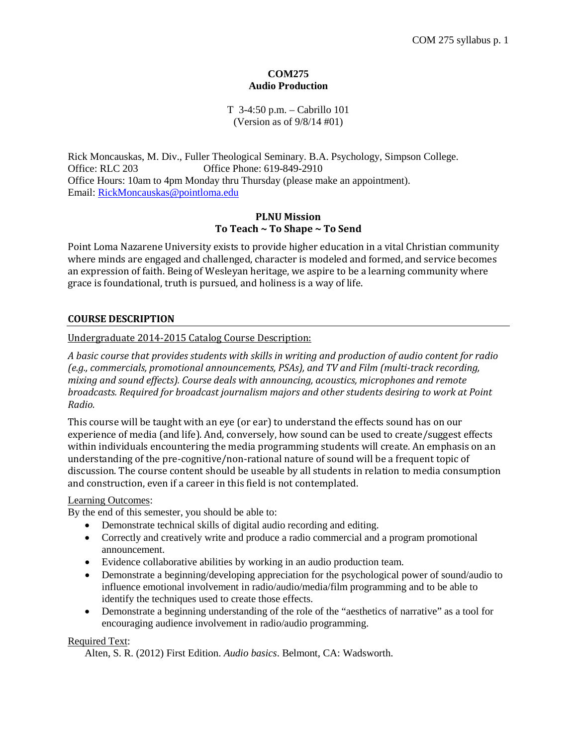# **COM275 Audio Production**

# T 3-4:50 p.m. – Cabrillo 101 (Version as of 9/8/14 #01)

Rick Moncauskas, M. Div., Fuller Theological Seminary. B.A. Psychology, Simpson College. Office: RLC 203 Office Phone: 619-849-2910 Office Hours: 10am to 4pm Monday thru Thursday (please make an appointment). Email: [RickMoncauskas@pointloma.edu](mailto:RickMoncauskas@pointloma.edu)

# **PLNU Mission To Teach ~ To Shape ~ To Send**

Point Loma Nazarene University exists to provide higher education in a vital Christian community where minds are engaged and challenged, character is modeled and formed, and service becomes an expression of faith. Being of Wesleyan heritage, we aspire to be a learning community where grace is foundational, truth is pursued, and holiness is a way of life.

# **COURSE DESCRIPTION**

# Undergraduate 2014-2015 Catalog Course Description:

*A basic course that provides students with skills in writing and production of audio content for radio (e.g., commercials, promotional announcements, PSAs), and TV and Film (multi-track recording, mixing and sound effects). Course deals with announcing, acoustics, microphones and remote broadcasts. Required for broadcast journalism majors and other students desiring to work at Point Radio.*

This course will be taught with an eye (or ear) to understand the effects sound has on our experience of media (and life). And, conversely, how sound can be used to create/suggest effects within individuals encountering the media programming students will create. An emphasis on an understanding of the pre-cognitive/non-rational nature of sound will be a frequent topic of discussion. The course content should be useable by all students in relation to media consumption and construction, even if a career in this field is not contemplated.

# Learning Outcomes:

By the end of this semester, you should be able to:

- Demonstrate technical skills of digital audio recording and editing.
- Correctly and creatively write and produce a radio commercial and a program promotional announcement.
- Evidence collaborative abilities by working in an audio production team.
- Demonstrate a beginning/developing appreciation for the psychological power of sound/audio to influence emotional involvement in radio/audio/media/film programming and to be able to identify the techniques used to create those effects.
- Demonstrate a beginning understanding of the role of the "aesthetics of narrative" as a tool for encouraging audience involvement in radio/audio programming.

# Required Text:

Alten, S. R. (2012) First Edition. *Audio basics*. Belmont, CA: Wadsworth.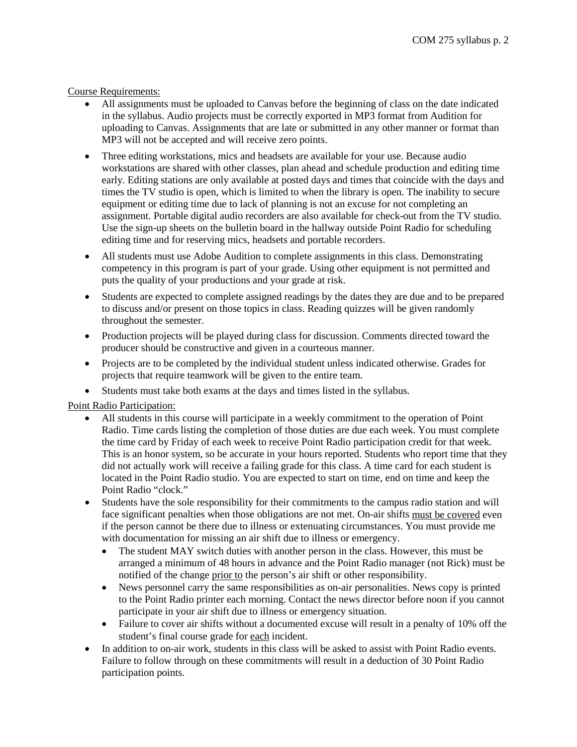# Course Requirements:

- All assignments must be uploaded to Canvas before the beginning of class on the date indicated in the syllabus. Audio projects must be correctly exported in MP3 format from Audition for uploading to Canvas. Assignments that are late or submitted in any other manner or format than MP3 will not be accepted and will receive zero points.
- Three editing workstations, mics and headsets are available for your use. Because audio workstations are shared with other classes, plan ahead and schedule production and editing time early. Editing stations are only available at posted days and times that coincide with the days and times the TV studio is open, which is limited to when the library is open. The inability to secure equipment or editing time due to lack of planning is not an excuse for not completing an assignment. Portable digital audio recorders are also available for check-out from the TV studio. Use the sign-up sheets on the bulletin board in the hallway outside Point Radio for scheduling editing time and for reserving mics, headsets and portable recorders.
- All students must use Adobe Audition to complete assignments in this class. Demonstrating competency in this program is part of your grade. Using other equipment is not permitted and puts the quality of your productions and your grade at risk.
- Students are expected to complete assigned readings by the dates they are due and to be prepared to discuss and/or present on those topics in class. Reading quizzes will be given randomly throughout the semester.
- Production projects will be played during class for discussion. Comments directed toward the producer should be constructive and given in a courteous manner.
- Projects are to be completed by the individual student unless indicated otherwise. Grades for projects that require teamwork will be given to the entire team.
- Students must take both exams at the days and times listed in the syllabus.

# Point Radio Participation:

- All students in this course will participate in a weekly commitment to the operation of Point Radio. Time cards listing the completion of those duties are due each week. You must complete the time card by Friday of each week to receive Point Radio participation credit for that week. This is an honor system, so be accurate in your hours reported. Students who report time that they did not actually work will receive a failing grade for this class. A time card for each student is located in the Point Radio studio. You are expected to start on time, end on time and keep the Point Radio "clock."
- Students have the sole responsibility for their commitments to the campus radio station and will face significant penalties when those obligations are not met. On-air shifts must be covered even if the person cannot be there due to illness or extenuating circumstances. You must provide me with documentation for missing an air shift due to illness or emergency.
	- The student MAY switch duties with another person in the class. However, this must be arranged a minimum of 48 hours in advance and the Point Radio manager (not Rick) must be notified of the change prior to the person's air shift or other responsibility.
	- News personnel carry the same responsibilities as on-air personalities. News copy is printed to the Point Radio printer each morning. Contact the news director before noon if you cannot participate in your air shift due to illness or emergency situation.
	- Failure to cover air shifts without a documented excuse will result in a penalty of 10% off the student's final course grade for each incident.
- In addition to on-air work, students in this class will be asked to assist with Point Radio events. Failure to follow through on these commitments will result in a deduction of 30 Point Radio participation points.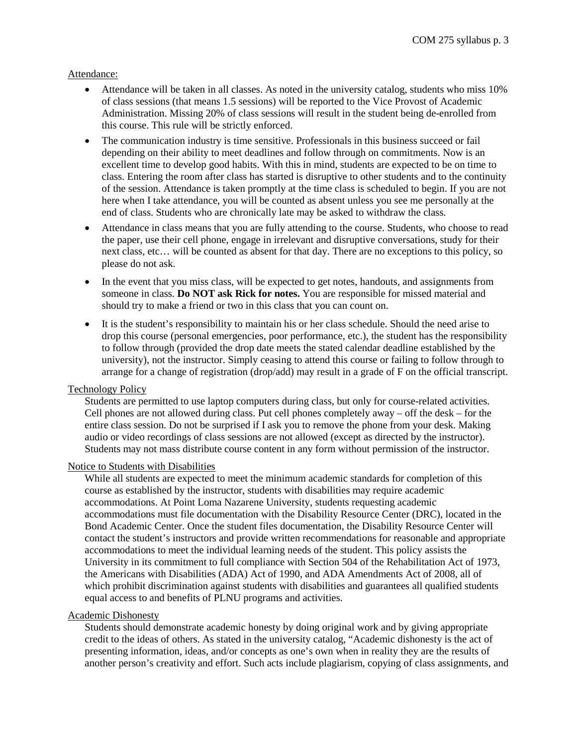#### Attendance:

- Attendance will be taken in all classes. As noted in the university catalog, students who miss 10% of class sessions (that means 1.5 sessions) will be reported to the Vice Provost of Academic Administration. Missing 20% of class sessions will result in the student being de-enrolled from this course. This rule will be strictly enforced.
- The communication industry is time sensitive. Professionals in this business succeed or fail depending on their ability to meet deadlines and follow through on commitments. Now is an excellent time to develop good habits. With this in mind, students are expected to be on time to class. Entering the room after class has started is disruptive to other students and to the continuity of the session. Attendance is taken promptly at the time class is scheduled to begin. If you are not here when I take attendance, you will be counted as absent unless you see me personally at the end of class. Students who are chronically late may be asked to withdraw the class.
- Attendance in class means that you are fully attending to the course. Students, who choose to read the paper, use their cell phone, engage in irrelevant and disruptive conversations, study for their next class, etc… will be counted as absent for that day. There are no exceptions to this policy, so please do not ask.
- In the event that you miss class, will be expected to get notes, handouts, and assignments from someone in class. **Do NOT ask Rick for notes.** You are responsible for missed material and should try to make a friend or two in this class that you can count on.
- It is the student's responsibility to maintain his or her class schedule. Should the need arise to drop this course (personal emergencies, poor performance, etc.), the student has the responsibility to follow through (provided the drop date meets the stated calendar deadline established by the university), not the instructor. Simply ceasing to attend this course or failing to follow through to arrange for a change of registration (drop/add) may result in a grade of F on the official transcript.

# Technology Policy

Students are permitted to use laptop computers during class, but only for course-related activities. Cell phones are not allowed during class. Put cell phones completely away – off the desk – for the entire class session. Do not be surprised if I ask you to remove the phone from your desk. Making audio or video recordings of class sessions are not allowed (except as directed by the instructor). Students may not mass distribute course content in any form without permission of the instructor.

### Notice to Students with Disabilities

While all students are expected to meet the minimum academic standards for completion of this course as established by the instructor, students with disabilities may require academic accommodations. At Point Loma Nazarene University, students requesting academic accommodations must file documentation with the Disability Resource Center (DRC), located in the Bond Academic Center. Once the student files documentation, the Disability Resource Center will contact the student's instructors and provide written recommendations for reasonable and appropriate accommodations to meet the individual learning needs of the student. This policy assists the University in its commitment to full compliance with Section 504 of the Rehabilitation Act of 1973, the Americans with Disabilities (ADA) Act of 1990, and ADA Amendments Act of 2008, all of which prohibit discrimination against students with disabilities and guarantees all qualified students equal access to and benefits of PLNU programs and activities.

#### Academic Dishonesty

Students should demonstrate academic honesty by doing original work and by giving appropriate credit to the ideas of others. As stated in the university catalog, "Academic dishonesty is the act of presenting information, ideas, and/or concepts as one's own when in reality they are the results of another person's creativity and effort. Such acts include plagiarism, copying of class assignments, and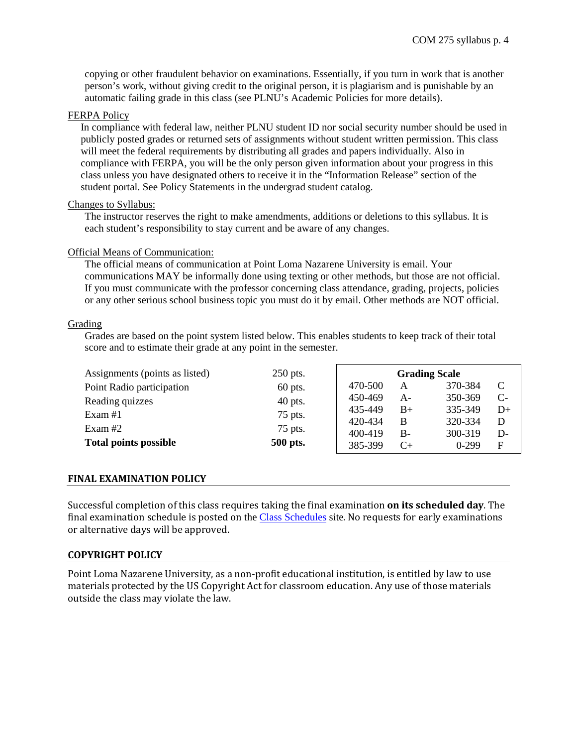copying or other fraudulent behavior on examinations. Essentially, if you turn in work that is another person's work, without giving credit to the original person, it is plagiarism and is punishable by an automatic failing grade in this class (see PLNU's Academic Policies for more details).

#### FERPA Policy

In compliance with federal law, neither PLNU student ID nor social security number should be used in publicly posted grades or returned sets of assignments without student written permission. This class will meet the federal requirements by distributing all grades and papers individually. Also in compliance with FERPA, you will be the only person given information about your progress in this class unless you have designated others to receive it in the "Information Release" section of the student portal. See Policy Statements in the undergrad student catalog.

#### Changes to Syllabus:

The instructor reserves the right to make amendments, additions or deletions to this syllabus. It is each student's responsibility to stay current and be aware of any changes.

# Official Means of Communication:

The official means of communication at Point Loma Nazarene University is email. Your communications MAY be informally done using texting or other methods, but those are not official. If you must communicate with the professor concerning class attendance, grading, projects, policies or any other serious school business topic you must do it by email. Other methods are NOT official.

# Grading

Grades are based on the point system listed below. This enables students to keep track of their total score and to estimate their grade at any point in the semester.

| Assignments (points as listed) | 250 pts.  | <b>Grading Scale</b> |           |           |      |
|--------------------------------|-----------|----------------------|-----------|-----------|------|
| Point Radio participation      | $60$ pts. | 470-500              | A         | 370-384   | C    |
| Reading quizzes                | $40$ pts. | 450-469              | $A-$      | 350-369   | $C-$ |
| Exam $#1$                      | 75 pts.   | 435-449              | $B+$      | 335-349   | $D+$ |
| Exam #2                        | 75 pts.   | 420-434              | B         | 320-334   | D    |
|                                |           | 400-419              | $B -$     | 300-319   | D-   |
| <b>Total points possible</b>   | 500 pts.  | 385-399              | $C_{\pm}$ | $0 - 299$ | F    |

# **FINAL EXAMINATION POLICY**

Successful completion of this class requires taking the final examination **on its scheduled day**. The final examination schedule is posted on the [Class Schedules](http://www.pointloma.edu/experience/academics/class-schedules) site. No requests for early examinations or alternative days will be approved.

# **COPYRIGHT POLICY**

Point Loma Nazarene University, as a non-profit educational institution, is entitled by law to use materials protected by the US Copyright Act for classroom education. Any use of those materials outside the class may violate the law.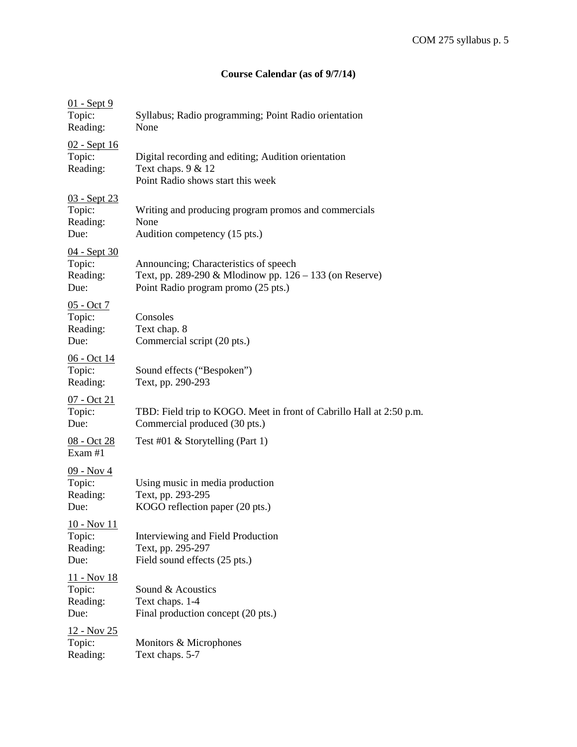# **Course Calendar (as of 9/7/14)**

| 01 - Sept 9<br>Topic:<br>Reading:                 | Syllabus; Radio programming; Point Radio orientation<br>None                                                                            |
|---------------------------------------------------|-----------------------------------------------------------------------------------------------------------------------------------------|
| 02 - Sept 16<br>Topic:<br>Reading:                | Digital recording and editing; Audition orientation<br>Text chaps. $9 & 12$<br>Point Radio shows start this week                        |
| <u>03 - Sept 23</u><br>Topic:<br>Reading:<br>Due: | Writing and producing program promos and commercials<br>None<br>Audition competency (15 pts.)                                           |
| 04 - Sept 30<br>Topic:<br>Reading:<br>Due:        | Announcing; Characteristics of speech<br>Text, pp. 289-290 & Mlodinow pp. 126 – 133 (on Reserve)<br>Point Radio program promo (25 pts.) |
| <u>05 - Oct 7</u><br>Topic:<br>Reading:<br>Due:   | Consoles<br>Text chap. 8<br>Commercial script (20 pts.)                                                                                 |
| <u>06 - Oct 14</u><br>Topic:<br>Reading:          | Sound effects ("Bespoken")<br>Text, pp. 290-293                                                                                         |
| <u>07 - Oct 21</u><br>Topic:<br>Due:              | TBD: Field trip to KOGO. Meet in front of Cabrillo Hall at 2:50 p.m.<br>Commercial produced (30 pts.)                                   |
| <u>08 - Oct 28</u><br>Exam #1                     | Test #01 $\&$ Storytelling (Part 1)                                                                                                     |
| <u>09 - Nov 4</u><br>Topic:<br>Reading:<br>Due:   | Using music in media production<br>Text, pp. 293-295<br>KOGO reflection paper (20 pts.)                                                 |
| 10 - Nov 11<br>Topic:<br>Reading:<br>Due:         | Interviewing and Field Production<br>Text, pp. 295-297<br>Field sound effects (25 pts.)                                                 |
| <u> 11 - Nov 18</u><br>Topic:<br>Reading:<br>Due: | Sound & Acoustics<br>Text chaps. 1-4<br>Final production concept (20 pts.)                                                              |
| <u>12 - Nov 25</u><br>Topic:<br>Reading:          | Monitors & Microphones<br>Text chaps. 5-7                                                                                               |